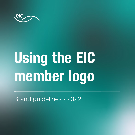

# Using the EIC member logo

Brand guidelines - 2022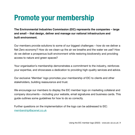# Promote your membership

**The Environmental Industries Commission (EIC) represents the companies – large and small – that design, deliver and manage our national infrastructure and built environment.** 

Our members provide solutions to some of our biggest challenges – how do we deliver a Net Zero economy? How do we clean-up the air we breathe and the water we use? How do we deliver a prosperous built environment while restoring biodiversity and providing access to nature and green spaces?

Your organisation's membership demonstrates a commitment to the industry, reinforces your expertise, and showcases a dedication to providing high-quality services and advice.

Our exclusive 'Member' logo promotes your membership of EIC to clients and other stakeholders, building reassurance and trust.

We encourage our members to display the EIC member logo on marketing collateral and company documents – including your website, email signatures and business cards. This guide outlines some guidelines for how to do so correctly.

Further questions on the implementation of the logo can be addressed to EIC: [membership@acenet.co.uk](mailto:membership%40acenet.co.uk?subject=)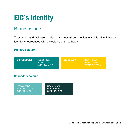# EIC's identity

### Brand colours

To establish and maintain consistency across all communications, it is critical that our identity is reproduced with the colours outlined below.

#### **Primary colours**

| <b>EIC TURQUOISE</b>     | HEX #008585<br>RGB 0 133 133<br>CYMK 100 0 0 48 | <b>EIC YELLOW</b> | <b>HEX #FFCE00</b><br>RGB 255 206 0<br>CYMK 0 19 100 0 |
|--------------------------|-------------------------------------------------|-------------------|--------------------------------------------------------|
| <b>Secondary colours</b> |                                                 |                   |                                                        |

| HEX #64BBBC     |  |  |  |  |
|-----------------|--|--|--|--|
| RGB 100 187 188 |  |  |  |  |
| CYMK 47 1 0 26  |  |  |  |  |

HEX #133A3A RGB 19 58 58 CYMK 67 0 0 77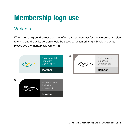### **Variants**

When the background colour does not offer sufficient contrast for the two-colour version to stand out, the white version should be used. (2). When printing in black and white please use the mono/black version (3).

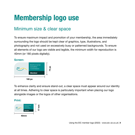### Minimum size & clear space

To ensure maximum impact and promotion of your membership, the area immediately surrounding the logo should be kept clear of graphics, type, illustrations, and photography and not used on excessively busy or patterned backgrounds. To ensure all elements of our logo are visible and legible, the minimum width for reproduction is 40mm (or 180 pixels digitally).

#### **Screen:**



To enhance clarity and ensure stand-out, a clear space must appear around our identity at all times. Adhering to clear space is particularly important when placing our logo alongside images or the logos of other organisations.

#### **Print:**

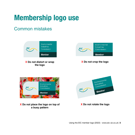### Common mistakes

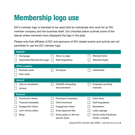EIC's member logo is intended to be used both by individuals who work for an EIC member company and the business itself. Our checklist below outlines some of the places where members have displayed the logo in the past.

Please note that affiliates of EIC and sponsors of EIC related events and activity are not permitted to use the EIC member logo.

| <b>Website</b> |                             |  |                                             |  |                                               |
|----------------|-----------------------------|--|---------------------------------------------|--|-----------------------------------------------|
|                | Homepage                    |  | About us page                               |  | Sitewide footer                               |
|                | Association/Membership page |  | Staff biographies                           |  | Sitewide header                               |
|                | <b>Office supplies</b>      |  |                                             |  |                                               |
|                | <b>Business cards</b>       |  | <b>Envelopes</b>                            |  | Letterheads                                   |
|                | Note cards                  |  |                                             |  |                                               |
|                | <b>Internal</b>             |  |                                             |  |                                               |
|                | Internal newsletters        |  | HR/Staff onboarding                         |  | <b>Employee recruiting</b>                    |
|                | Intranet                    |  | documentation                               |  | materials                                     |
|                | <b>External</b>             |  |                                             |  |                                               |
|                | Introduction letters        |  | Powerpoint templates                        |  | <b>Client flyers</b>                          |
|                | Proposal boilerplate        |  | <b>Client brochures</b>                     |  | Staff biographies                             |
|                | <b>Engagement letters</b>   |  | <b>Engagement letters</b>                   |  | <b>Newsletters</b>                            |
|                | Joint venture letters       |  | Email signature files                       |  | Lobby signage                                 |
|                | <b>Blogs</b>                |  | Niche pieces or Service-<br>specific flyers |  | Social media (Facebook,<br>Twitter, LinkedIn) |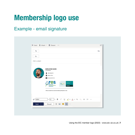### Example - email signature

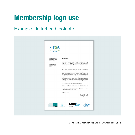### Example - letterhead footnote

| Resource<br>Environmental<br><b>Solutions</b>                                                                     |                                                                                                                                                                                                                                                                                                                                                                                                                                                                                                                                                                                                                                                                                                                                                                                                                                                                                                                                                                                                                                                                                                                                                                                                                                                                                                                                                                                                                                                                                                                                                                                                                                                                     |
|-------------------------------------------------------------------------------------------------------------------|---------------------------------------------------------------------------------------------------------------------------------------------------------------------------------------------------------------------------------------------------------------------------------------------------------------------------------------------------------------------------------------------------------------------------------------------------------------------------------------------------------------------------------------------------------------------------------------------------------------------------------------------------------------------------------------------------------------------------------------------------------------------------------------------------------------------------------------------------------------------------------------------------------------------------------------------------------------------------------------------------------------------------------------------------------------------------------------------------------------------------------------------------------------------------------------------------------------------------------------------------------------------------------------------------------------------------------------------------------------------------------------------------------------------------------------------------------------------------------------------------------------------------------------------------------------------------------------------------------------------------------------------------------------------|
| 2003 Sunny Day Drive<br>Los Angeles, CA 90017<br>8283-872-714<br>@yourwebsite.com<br>Creative Marketing<br>Agency | Dear Mr. Valencia<br>Fusce scelerisque sem sem, non interdum ligula gravida id. Curabitur sit<br>amet molestie elit. Pellentesque ac congue diam. Duis varius suscipit<br>elementum. Ut ac volutpat arcu, id commodo erat. Suspendisse tempor<br>diam ut nunc egestas finibus. Maecenas quis porttitor dolor, a accumsan<br>odio. Phasellus nisl metus, consectetur ut venenatis sit amet, imperdiet at<br>nunc.<br>Donec facilisis malesuada ipsum sit amet vulputate. Integer justo justo,<br>fermentum vitae pellentesque feugiat, ullamcorper non velit.<br>Suspendisse molestie volutpat nisl at faucibus. Praesent posuere sodales<br>libero, sed lacinia lacus ultrices eu. Phasellus lobortis, lectus sit amet<br>vehicula hendrerit, risus purus blandit nunc, porttitor dictum arcu nisl<br>varius ipsum. Nam tempus et purus sit amet cursus. Ut nec mauris quam.<br>Integer condimentum quis magna id tempus. Pellentesque et orci<br>scelerisque nisi faucibus egestas et at orci. Aliquam placerat ultricies erat<br>id tincidunt. Nunc quis justo ipsum. Pellentesque at nisl et nulla posuere<br>sollicitudin vitae vel ex. Vivamus fermentum orci sem. Phasellus tempor,<br>metus vitae rutrum varius, ex libero mattis sapien, nec dictum enim augue<br>non augue. Vestibulum in orci ut augue iaculis porttitor.<br>Praesent sit amet augue auctor, ultrices dui eget, pellentesque enim.<br>Vivamus eu elementum odio. Nulla vitae enim porta, posuere tellus in,<br>euismod nulla. Pellentesque vitae sodales ligula, vitae viverra nunc.<br>Integer tristique sit amet leo vel feugiat.<br>John A. Powell<br>Marketing Manager<br>John Powell |
|                                                                                                                   | (6)<br>LEADING IN<br>AIAA<br>CORPORATE<br>MEMBERSHIP<br>CORPORATE<br>MEMBER                                                                                                                                                                                                                                                                                                                                                                                                                                                                                                                                                                                                                                                                                                                                                                                                                                                                                                                                                                                                                                                                                                                                                                                                                                                                                                                                                                                                                                                                                                                                                                                         |